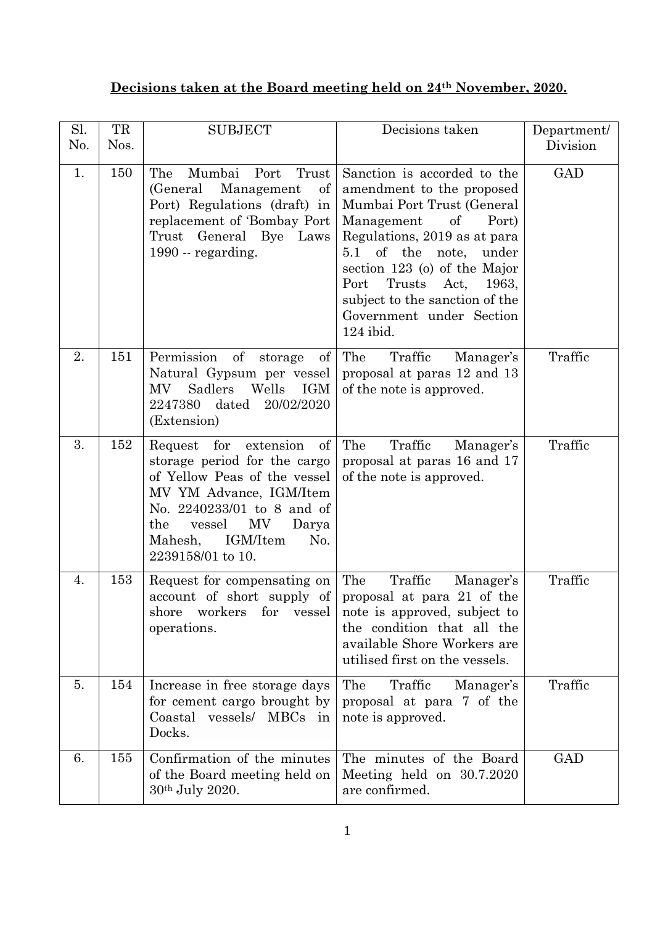## **Decisions taken at the Board meeting held on 24th November, 2020.**

| Sl.<br>No. | TR<br>Nos. | <b>SUBJECT</b>                                                                                                                                                                                                                                | Decisions taken                                                                                                                                                                                                                                                                                                              | Department/<br>Division |
|------------|------------|-----------------------------------------------------------------------------------------------------------------------------------------------------------------------------------------------------------------------------------------------|------------------------------------------------------------------------------------------------------------------------------------------------------------------------------------------------------------------------------------------------------------------------------------------------------------------------------|-------------------------|
| 1.         | 150        | Mumbai Port<br>The<br>Trust<br>(General)<br>Management<br>of<br>Port) Regulations (draft) in<br>replacement of 'Bombay Port<br>Trust General Bye Laws<br>1990 - regarding.                                                                    | Sanction is accorded to the<br>amendment to the proposed<br>Mumbai Port Trust (General<br>Management<br>of<br>Port)<br>Regulations, 2019 as at para<br>5.1 of the note, under<br>section $123$ (o) of the Major<br>Port<br>Trusts Act,<br>1963,<br>subject to the sanction of the<br>Government under Section<br>$124$ ibid. | <b>GAD</b>              |
| 2.         | 151        | Permission of<br>of<br>storage<br>Natural Gypsum per vessel<br>Sadlers<br>Wells<br>IGM<br>MV<br>2247380<br>dated<br>20/02/2020<br>(Extension)                                                                                                 | The<br>Traffic<br>Manager's<br>proposal at paras 12 and 13<br>of the note is approved.                                                                                                                                                                                                                                       | Traffic                 |
| 3.         | 152        | of<br>extension<br>Request<br>for<br>storage period for the cargo<br>of Yellow Peas of the vessel<br>MV YM Advance, IGM/Item<br>No. 2240233/01 to 8 and of<br>MV<br>the<br>vessel<br>Darya<br>IGM/Item<br>No.<br>Mahesh,<br>2239158/01 to 10. | The<br>Traffic<br>Manager's<br>proposal at paras 16 and 17<br>of the note is approved.                                                                                                                                                                                                                                       | Traffic                 |
| 4.         | 153        | Request for compensating on<br>account of short supply of<br>shore<br>workers<br>for<br>vessel<br>operations.                                                                                                                                 | The<br>Traffic<br>Manager's<br>proposal at para 21 of the<br>note is approved, subject to<br>the condition that all the<br>available Shore Workers are<br>utilised first on the vessels.                                                                                                                                     | Traffic                 |
| 5.         | 154        | Increase in free storage days<br>for cement cargo brought by<br>Coastal vessels/ MBCs in<br>Docks.                                                                                                                                            | The<br>Traffic<br>Manager's<br>proposal at para 7 of the<br>note is approved.                                                                                                                                                                                                                                                | Traffic                 |
| 6.         | 155        | Confirmation of the minutes<br>of the Board meeting held on<br>30th July 2020.                                                                                                                                                                | The minutes of the Board<br>Meeting held on 30.7.2020<br>are confirmed.                                                                                                                                                                                                                                                      | <b>GAD</b>              |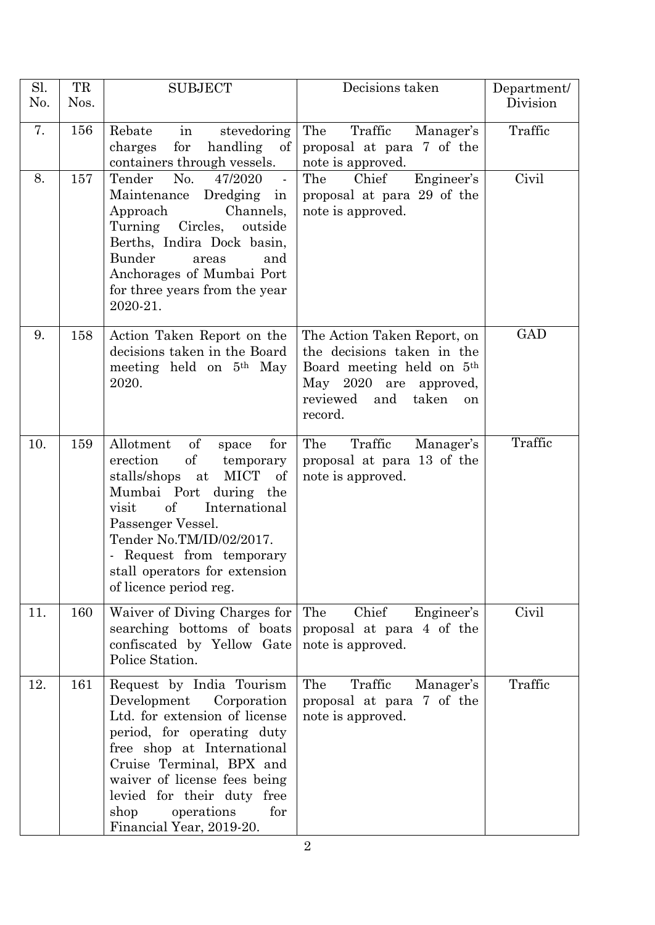| Sl.<br>No. | TR<br>Nos. | <b>SUBJECT</b>                                                                                                                                                                                                                                                                                            | Decisions taken                                                                                                                                                        | Department/<br>Division |
|------------|------------|-----------------------------------------------------------------------------------------------------------------------------------------------------------------------------------------------------------------------------------------------------------------------------------------------------------|------------------------------------------------------------------------------------------------------------------------------------------------------------------------|-------------------------|
| 7.         | 156        | Rebate<br>stevedoring<br>in<br>for<br>handling<br>$\alpha$<br>charges<br>containers through vessels.                                                                                                                                                                                                      | Traffic<br>The<br>Manager's<br>proposal at para 7 of the<br>note is approved.                                                                                          | Traffic                 |
| 8.         | 157        | Tender<br>No.<br>47/2020<br>Dredging in<br>Maintenance<br>Approach<br>Channels,<br>Turning Circles, outside<br>Berths, Indira Dock basin,<br>Bunder<br>and<br>areas<br>Anchorages of Mumbai Port<br>for three years from the year<br>2020-21.                                                             | Engineer's<br>The<br>Chief<br>proposal at para 29 of the<br>note is approved.                                                                                          | Civil                   |
| 9.         | 158        | Action Taken Report on the<br>decisions taken in the Board<br>meeting held on 5 <sup>th</sup> May<br>2020.                                                                                                                                                                                                | The Action Taken Report, on<br>the decisions taken in the<br>Board meeting held on 5 <sup>th</sup><br>May 2020 are approved,<br>reviewed and<br>taken<br>on<br>record. | <b>GAD</b>              |
| 10.        | 159        | of<br>Allotment<br>for<br>space<br>$\mathrm{of}$<br>erection<br>temporary<br>MICT of<br>stalls/shops at<br>Mumbai Port during the<br>of<br>International<br>visit<br>Passenger Vessel.<br>Tender No.TM/ID/02/2017.<br>- Request from temporary<br>stall operators for extension<br>of licence period reg. | The<br>Traffic<br>Manager's<br>proposal at para 13 of the<br>note is approved.                                                                                         | Traffic                 |
| 11.        | 160        | Waiver of Diving Charges for<br>searching bottoms of boats<br>confiscated by Yellow Gate<br>Police Station.                                                                                                                                                                                               | Chief<br>Engineer's<br>The<br>proposal at para 4 of the<br>note is approved.                                                                                           | Civil                   |
| 12.        | 161        | Request by India Tourism<br>Development<br>Corporation<br>Ltd. for extension of license<br>period, for operating duty<br>free shop at International<br>Cruise Terminal, BPX and<br>waiver of license fees being<br>levied for their duty free<br>shop<br>operations<br>for<br>Financial Year, 2019-20.    | The<br>Traffic<br>Manager's<br>proposal at para 7 of the<br>note is approved.                                                                                          | Traffic                 |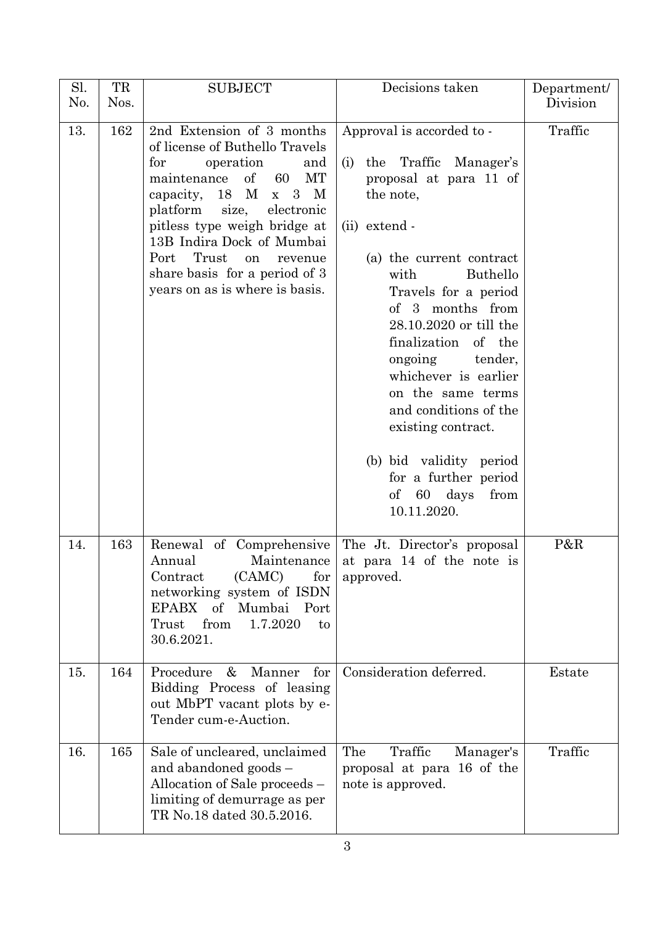| Sl. | TR   | <b>SUBJECT</b>                                                                                                                                                                                                                                                                                                                                                             | Decisions taken                                                                                                                                                                                                                                                                                                                                                                                                                                                                     | Department/ |
|-----|------|----------------------------------------------------------------------------------------------------------------------------------------------------------------------------------------------------------------------------------------------------------------------------------------------------------------------------------------------------------------------------|-------------------------------------------------------------------------------------------------------------------------------------------------------------------------------------------------------------------------------------------------------------------------------------------------------------------------------------------------------------------------------------------------------------------------------------------------------------------------------------|-------------|
| No. | Nos. |                                                                                                                                                                                                                                                                                                                                                                            |                                                                                                                                                                                                                                                                                                                                                                                                                                                                                     | Division    |
| 13. | 162  | 2nd Extension of 3 months<br>of license of Buthello Travels<br>operation<br>for<br>and<br>$\sigma$<br>MT<br>maintenance<br>60<br>capacity, $18 \text{ M x } 3 \text{ M}$<br>platform size,<br>electronic<br>pitless type weigh bridge at<br>13B Indira Dock of Mumbai<br>Trust<br>Port<br>on<br>revenue<br>share basis for a period of 3<br>years on as is where is basis. | Approval is accorded to -<br>the Traffic Manager's<br>(i)<br>proposal at para 11 of<br>the note,<br>(ii) extend -<br>(a) the current contract<br>Buthello<br>with<br>Travels for a period<br>of 3 months from<br>28.10.2020 or till the<br>finalization of the<br>ongoing<br>tender,<br>whichever is earlier<br>on the same terms<br>and conditions of the<br>existing contract.<br>(b) bid validity period<br>for a further period<br>$\sigma f$<br>60 days<br>from<br>10.11.2020. | Traffic     |
| 14. | 163  | Renewal of Comprehensive<br>Annual<br>Maintenance<br>(CAMC)<br>Contract<br>for<br>networking system of ISDN<br>of<br>Mumbai<br><b>EPABX</b><br>Port<br>from<br>1.7.2020<br>Trust<br>to<br>30.6.2021.                                                                                                                                                                       | The Jt. Director's proposal<br>at para 14 of the note is<br>approved.                                                                                                                                                                                                                                                                                                                                                                                                               | P&R         |
| 15. | 164  | Procedure<br>$\&$<br>Manner<br>for<br>Bidding Process of leasing<br>out MbPT vacant plots by e-<br>Tender cum-e-Auction.                                                                                                                                                                                                                                                   | Consideration deferred.                                                                                                                                                                                                                                                                                                                                                                                                                                                             | Estate      |
| 16. | 165  | Sale of uncleared, unclaimed<br>and abandoned goods -<br>Allocation of Sale proceeds –<br>limiting of demurrage as per<br>TR No.18 dated 30.5.2016.                                                                                                                                                                                                                        | The<br>Traffic<br>Manager's<br>proposal at para 16 of the<br>note is approved.                                                                                                                                                                                                                                                                                                                                                                                                      | Traffic     |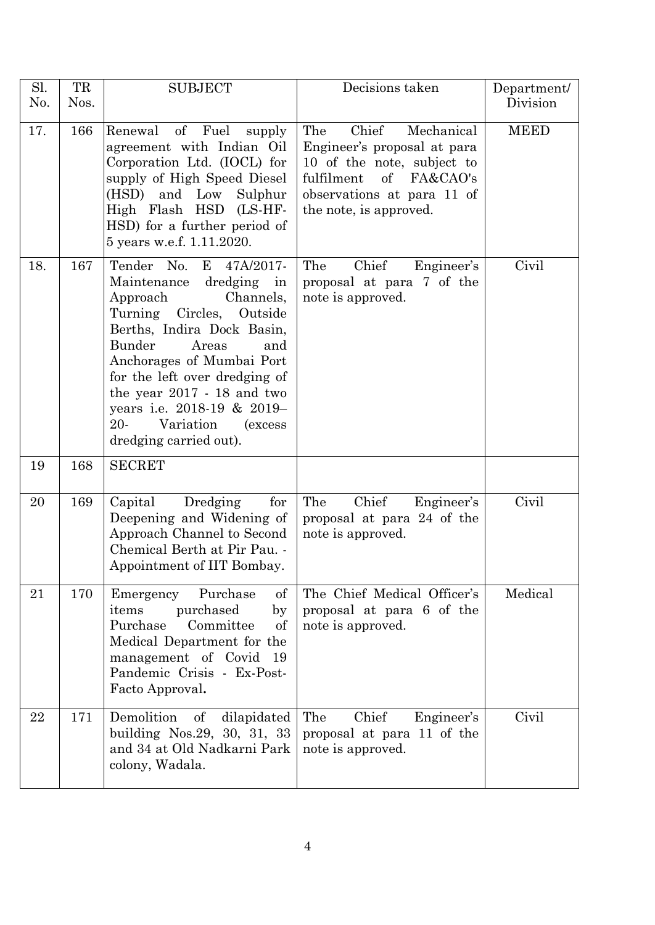| Sl.<br>No. | TR<br>Nos. | <b>SUBJECT</b>                                                                                                                                                                                                                                                                                                                                                   | Decisions taken                                                                                                                                                                         | Department/<br>Division |
|------------|------------|------------------------------------------------------------------------------------------------------------------------------------------------------------------------------------------------------------------------------------------------------------------------------------------------------------------------------------------------------------------|-----------------------------------------------------------------------------------------------------------------------------------------------------------------------------------------|-------------------------|
| 17.        | 166        | of Fuel<br>Renewal<br>supply<br>agreement with Indian Oil<br>Corporation Ltd. (IOCL) for<br>supply of High Speed Diesel<br>(HSD)<br>and Low<br>Sulphur<br>High Flash HSD (LS-HF-<br>HSD) for a further period of<br>5 years w.e.f. 1.11.2020.                                                                                                                    | Chief<br>The<br>Mechanical<br>Engineer's proposal at para<br>10 of the note, subject to<br>fulfilment<br>$\sigma f$<br>FA&CAO's<br>observations at para 11 of<br>the note, is approved. | <b>MEED</b>             |
| 18.        | 167        | Tender No.<br>E 47A/2017-<br>Maintenance dredging in<br>Channels,<br>Approach<br>Turning Circles,<br>Outside<br>Berths, Indira Dock Basin,<br>Bunder<br>Areas<br>and<br>Anchorages of Mumbai Port<br>for the left over dredging of<br>the year 2017 - 18 and two<br>years i.e. 2018-19 & 2019-<br>20-<br>Variation<br><i>(excess</i> )<br>dredging carried out). | Chief<br>The<br>Engineer's<br>proposal at para 7 of the<br>note is approved.                                                                                                            | Civil                   |
| 19         | 168        | <b>SECRET</b>                                                                                                                                                                                                                                                                                                                                                    |                                                                                                                                                                                         |                         |
| 20         | 169        | Capital<br>Dredging<br>for<br>Deepening and Widening of<br>Approach Channel to Second<br>Chemical Berth at Pir Pau. -<br>Appointment of IIT Bombay.                                                                                                                                                                                                              | Chief<br>The<br>Engineer's<br>proposal at para 24 of the<br>note is approved.                                                                                                           | Civil                   |
| 21         | 170        | Purchase<br>Emergency<br>of<br>purchased<br>items<br>by<br>Purchase<br>Committee<br>of<br>Medical Department for the<br>management of Covid 19<br>Pandemic Crisis - Ex-Post-<br>Facto Approval.                                                                                                                                                                  | The Chief Medical Officer's<br>proposal at para 6 of the<br>note is approved.                                                                                                           | Medical                 |
| 22         | 171        | Demolition<br>of<br>dilapidated<br>building Nos.29, 30, 31, 33<br>and 34 at Old Nadkarni Park<br>colony, Wadala.                                                                                                                                                                                                                                                 | Chief<br>The<br>Engineer's<br>proposal at para 11 of the<br>note is approved.                                                                                                           | Civil                   |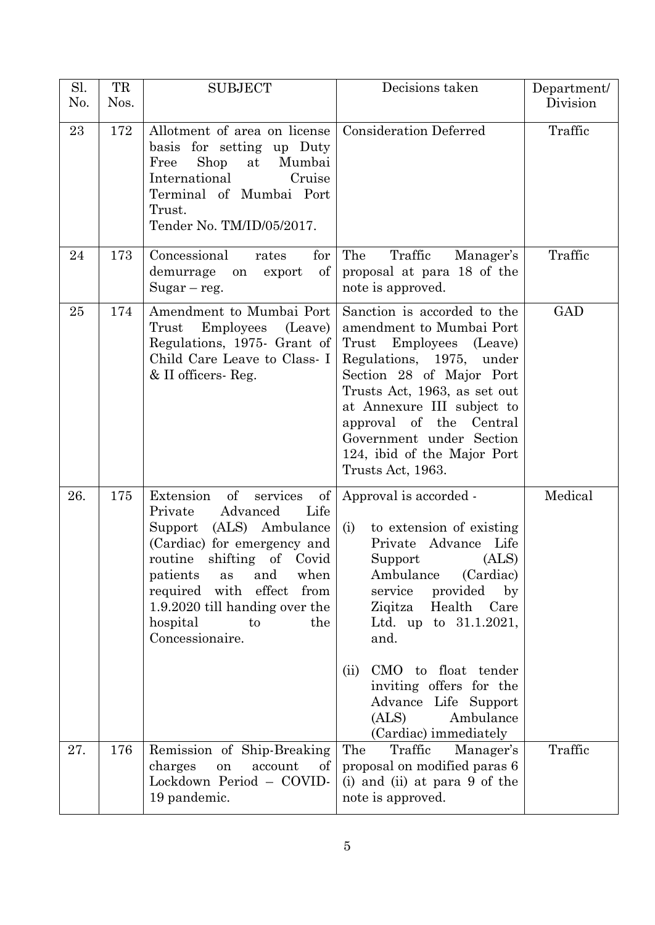| Sl.<br>No. | TR<br>Nos. | <b>SUBJECT</b>                                                                                                                                                                                                                                                                                               | Decisions taken                                                                                                                                                                                                                                                                                                                                                | Department/<br>Division |
|------------|------------|--------------------------------------------------------------------------------------------------------------------------------------------------------------------------------------------------------------------------------------------------------------------------------------------------------------|----------------------------------------------------------------------------------------------------------------------------------------------------------------------------------------------------------------------------------------------------------------------------------------------------------------------------------------------------------------|-------------------------|
| 23         | 172        | Allotment of area on license<br>basis for setting up Duty<br>Shop<br>Mumbai<br>Free<br>at<br>International<br>Cruise<br>Terminal of Mumbai Port<br>Trust.<br>Tender No. TM/ID/05/2017.                                                                                                                       | <b>Consideration Deferred</b>                                                                                                                                                                                                                                                                                                                                  | Traffic                 |
| 24         | 173        | Concessional<br>for<br>rates<br>of<br>demurrage<br>export<br>on<br>$Sugar - reg.$                                                                                                                                                                                                                            | The<br>Traffic<br>Manager's<br>proposal at para 18 of the<br>note is approved.                                                                                                                                                                                                                                                                                 | Traffic                 |
| 25         | 174        | Amendment to Mumbai Port<br>Trust<br>Employees (Leave)<br>Regulations, 1975. Grant of<br>Child Care Leave to Class- I<br>& II officers Reg.                                                                                                                                                                  | Sanction is accorded to the<br>amendment to Mumbai Port<br>Trust<br>Employees (Leave)<br>Regulations, 1975, under<br>Section 28 of Major Port<br>Trusts Act, 1963, as set out<br>at Annexure III subject to<br>approval of the<br>Central<br>Government under Section<br>124, ibid of the Major Port<br>Trusts Act, 1963.                                      | GAD                     |
| 26.        | 175        | of<br>Extension<br>services<br>of<br>Advanced<br>Private<br>Life<br>(ALS) Ambulance<br>Support<br>(Cardiac) for emergency and<br>routine<br>shifting of Covid<br>patients<br>and<br>when<br>as<br>required with effect<br>from<br>1.9.2020 till handing over the<br>hospital<br>the<br>to<br>Concessionaire. | Approval is accorded -<br>to extension of existing<br>(i)<br>Private Advance Life<br>(ALS)<br>Support<br>Ambulance<br>(Cardiac)<br>provided<br>by<br>service<br>Health<br>Ziqitza<br>Care<br>Ltd. up to $31.1.2021$ ,<br>and.<br>CMO to float tender<br>(ii)<br>inviting offers for the<br>Advance Life Support<br>Ambulance<br>(ALS)<br>(Cardiac) immediately | Medical                 |
| 27.        | 176        | Remission of Ship-Breaking<br>charges<br>account<br>on<br>of<br>Lockdown Period - COVID-<br>19 pandemic.                                                                                                                                                                                                     | The<br>Traffic<br>Manager's<br>proposal on modified paras 6<br>(i) and (ii) at para 9 of the<br>note is approved.                                                                                                                                                                                                                                              | Traffic                 |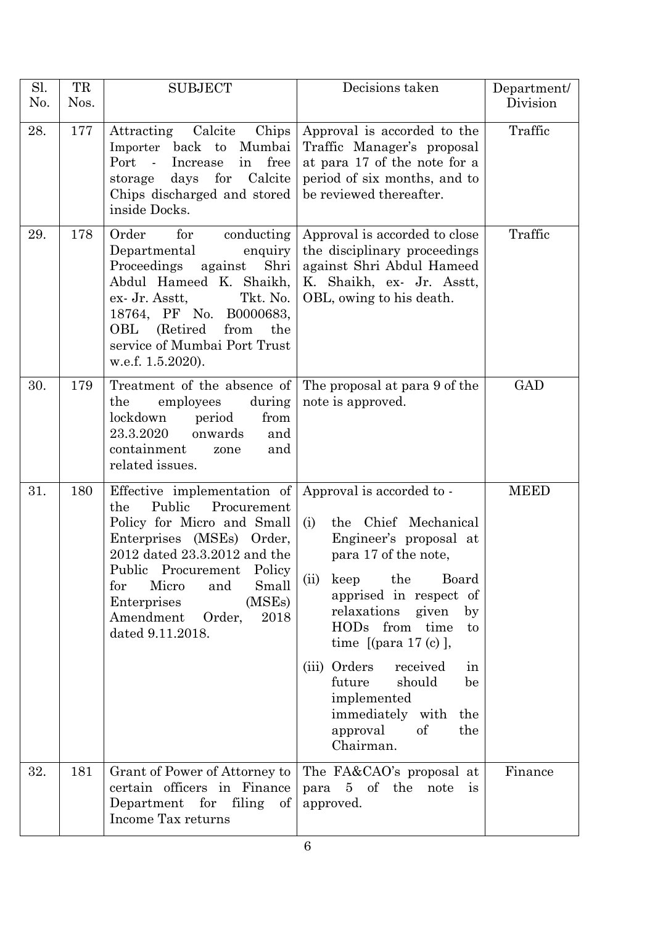| Sl.<br>No. | TR<br>Nos. | <b>SUBJECT</b>                                                                                                                                                                                                                                                                                                         | Decisions taken                                                                                                                                                                                                                                                                                                                                                       | Department/<br>Division |
|------------|------------|------------------------------------------------------------------------------------------------------------------------------------------------------------------------------------------------------------------------------------------------------------------------------------------------------------------------|-----------------------------------------------------------------------------------------------------------------------------------------------------------------------------------------------------------------------------------------------------------------------------------------------------------------------------------------------------------------------|-------------------------|
| 28.        | 177        | Attracting Calcite<br>Chips<br>Importer back to Mumbai<br>Port<br>free<br>$\sim$ $\sim$<br>Increase<br>in<br>days for Calcite<br>storage<br>Chips discharged and stored<br>inside Docks.                                                                                                                               | Approval is accorded to the<br>Traffic Manager's proposal<br>at para 17 of the note for a<br>period of six months, and to<br>be reviewed thereafter.                                                                                                                                                                                                                  | Traffic                 |
| 29.        | 178        | Order<br>conducting<br>for<br>Departmental<br>enquiry<br>Proceedings<br>Shri<br>against<br>Abdul Hameed K. Shaikh,<br>Tkt. No.<br>ex- Jr. Asstt,<br>18764, PF No. B0000683,<br>OBL (Retired<br>from<br>the<br>service of Mumbai Port Trust<br>w.e.f. 1.5.2020).                                                        | Approval is accorded to close<br>the disciplinary proceedings<br>against Shri Abdul Hameed<br>K. Shaikh, ex- Jr. Asstt,<br>OBL, owing to his death.                                                                                                                                                                                                                   | Traffic                 |
| 30.        | 179        | Treatment of the absence of<br>employees<br>the<br>during<br>lockdown<br>from<br>period<br>23.3.2020<br>onwards<br>and<br>containment<br>and<br>zone<br>related issues.                                                                                                                                                | The proposal at para 9 of the<br>note is approved.                                                                                                                                                                                                                                                                                                                    | <b>GAD</b>              |
| 31.        | 180        | Effective implementation of Approval is accorded to -<br>Public<br>Procurement<br>the<br>Policy for Micro and Small<br>Enterprises (MSEs) Order,<br>2012 dated 23.3.2012 and the<br>Public Procurement Policy<br>for<br>Micro<br>Small<br>and<br>(MSEs)<br>Enterprises<br>Amendment Order,<br>2018<br>dated 9.11.2018. | the Chief Mechanical<br>(i)<br>Engineer's proposal at<br>para 17 of the note,<br>(ii)<br>keep<br>the<br>Board<br>apprised in respect of<br>relaxations given<br>by<br>HODs from time<br>to<br>time $[$ (para 17 (c) $]$ ,<br>(iii) Orders<br>received<br>in<br>future<br>should<br>be<br>implemented<br>immediately with<br>the<br>approval<br>of<br>the<br>Chairman. | <b>MEED</b>             |
| 32.        | 181        | Grant of Power of Attorney to<br>certain officers in Finance<br>Department for filing of<br>Income Tax returns                                                                                                                                                                                                         | The FA&CAO's proposal at<br>para 5 of the note<br>$\frac{1}{1}$<br>approved.                                                                                                                                                                                                                                                                                          | Finance                 |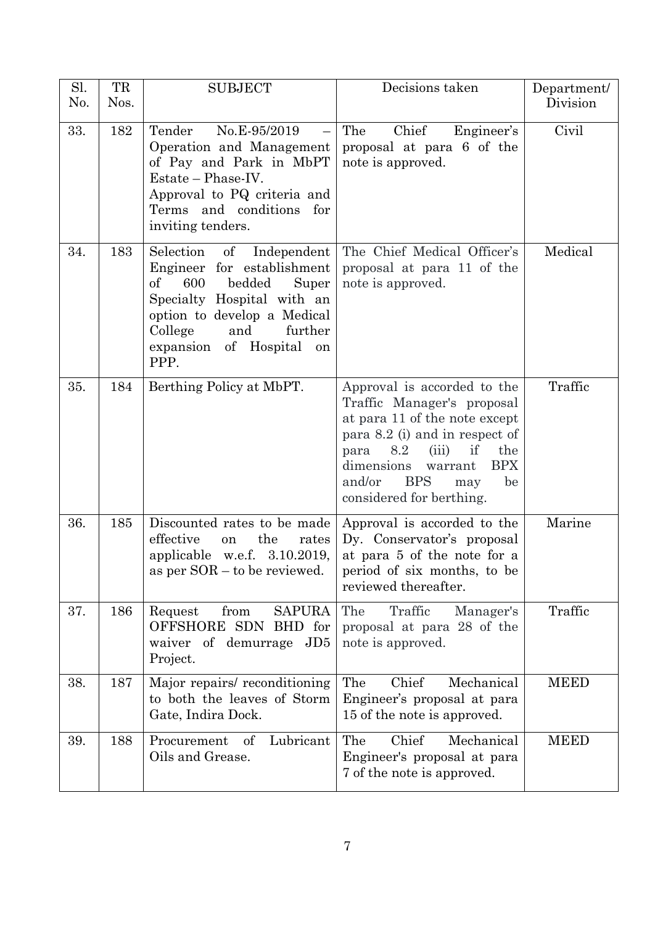| Sl.<br>No. | TR<br>Nos. | <b>SUBJECT</b>                                                                                                                                                                                                                        | Decisions taken                                                                                                                                                                                                                                                           | Department/<br>Division |
|------------|------------|---------------------------------------------------------------------------------------------------------------------------------------------------------------------------------------------------------------------------------------|---------------------------------------------------------------------------------------------------------------------------------------------------------------------------------------------------------------------------------------------------------------------------|-------------------------|
| 33.        | 182        | Tender<br>No.E-95/2019<br>Operation and Management<br>of Pay and Park in MbPT<br>Estate – Phase-IV.<br>Approval to PQ criteria and<br>Terms and conditions for<br>inviting tenders.                                                   | Chief<br>The<br>Engineer's<br>proposal at para 6 of the<br>note is approved.                                                                                                                                                                                              | Civil                   |
| 34.        | 183        | Selection<br>$\sigma f$<br>Independent<br>Engineer for establishment<br>600<br>of<br>bedded<br>Super<br>Specialty Hospital with an<br>option to develop a Medical<br>further<br>College<br>and<br>expansion of Hospital<br>on<br>PPP. | The Chief Medical Officer's<br>proposal at para 11 of the<br>note is approved.                                                                                                                                                                                            | Medical                 |
| 35.        | 184        | Berthing Policy at MbPT.                                                                                                                                                                                                              | Approval is accorded to the<br>Traffic Manager's proposal<br>at para 11 of the note except<br>para 8.2 (i) and in respect of<br>if<br>8.2<br>(iii)<br>the<br>para<br><b>BPX</b><br>dimensions<br>warrant<br>and/or<br><b>BPS</b><br>be<br>may<br>considered for berthing. | Traffic                 |
| 36.        | 185        | Discounted rates to be made<br>the<br>effective<br>rates<br>on<br>applicable w.e.f. $3.10.2019$ ,<br>as per SOR – to be reviewed.                                                                                                     | Approval is accorded to the<br>Dy. Conservator's proposal<br>at para 5 of the note for a<br>period of six months, to be<br>reviewed thereafter.                                                                                                                           | Marine                  |
| 37.        | 186        | from<br><b>SAPURA</b><br>Request<br>OFFSHORE SDN BHD for<br>waiver of demurrage JD5<br>Project.                                                                                                                                       | The<br>Traffic<br>Manager's<br>proposal at para 28 of the<br>note is approved.                                                                                                                                                                                            | Traffic                 |
| 38.        | 187        | Major repairs/ reconditioning<br>to both the leaves of Storm<br>Gate, Indira Dock.                                                                                                                                                    | Chief<br>The<br>Mechanical<br>Engineer's proposal at para<br>15 of the note is approved.                                                                                                                                                                                  | <b>MEED</b>             |
| 39.        | 188        | Procurement<br>of Lubricant<br>Oils and Grease.                                                                                                                                                                                       | Chief<br>The<br>Mechanical<br>Engineer's proposal at para<br>7 of the note is approved.                                                                                                                                                                                   | <b>MEED</b>             |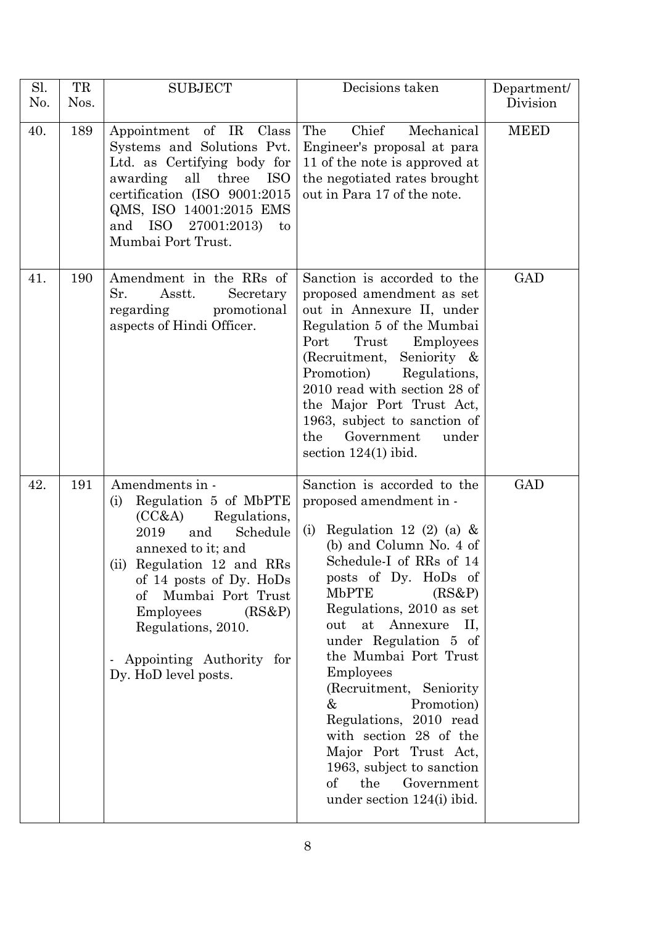| Sl.<br>No. | TR<br>Nos. | <b>SUBJECT</b>                                                                                                                                                                                                                                                                                                                 | Decisions taken                                                                                                                                                                                                                                                                                                                                                                                                                                                                                                                                        | Department/<br>Division |
|------------|------------|--------------------------------------------------------------------------------------------------------------------------------------------------------------------------------------------------------------------------------------------------------------------------------------------------------------------------------|--------------------------------------------------------------------------------------------------------------------------------------------------------------------------------------------------------------------------------------------------------------------------------------------------------------------------------------------------------------------------------------------------------------------------------------------------------------------------------------------------------------------------------------------------------|-------------------------|
| 40.        | 189        | Appointment of IR<br>Class<br>Systems and Solutions Pvt.<br>Ltd. as Certifying body for<br>awarding<br>all three<br>ISO<br>certification (ISO 9001:2015<br>QMS, ISO 14001:2015 EMS<br>ISO 27001:2013)<br>and<br>to<br>Mumbai Port Trust.                                                                                       | Chief<br>The<br>Mechanical<br>Engineer's proposal at para<br>11 of the note is approved at<br>the negotiated rates brought<br>out in Para 17 of the note.                                                                                                                                                                                                                                                                                                                                                                                              | <b>MEED</b>             |
| 41.        | 190        | Amendment in the RRs of<br>Sr.<br>Asstt.<br>Secretary<br>regarding<br>promotional<br>aspects of Hindi Officer.                                                                                                                                                                                                                 | Sanction is accorded to the<br>proposed amendment as set<br>out in Annexure II, under<br>Regulation 5 of the Mumbai<br>Trust<br>Port<br>Employees<br>(Recruitment, Seniority &<br>Regulations,<br>Promotion)<br>2010 read with section 28 of<br>the Major Port Trust Act,<br>1963, subject to sanction of<br>Government<br>the<br>under<br>section $124(1)$ ibid.                                                                                                                                                                                      | <b>GAD</b>              |
| 42.        | 191        | Amendments in -<br>Regulation 5 of MbPTE<br>(i)<br>Regulations,<br>(CC&A)<br>Schedule<br>2019<br>and<br>annexed to it; and<br>(ii) Regulation 12 and RRs<br>of 14 posts of Dy. HoDs<br>Mumbai Port Trust<br>$\sigma f$<br><b>Employees</b><br>(RS&P)<br>Regulations, 2010.<br>Appointing Authority for<br>Dy. HoD level posts. | Sanction is accorded to the<br>proposed amendment in -<br>Regulation 12 (2) (a) $\&$<br>(i)<br>(b) and Column No. 4 of<br>Schedule-I of RRs of 14<br>posts of Dy. HoDs of<br><b>MbPTE</b><br>(RS&P)<br>Regulations, 2010 as set<br>Annexure<br>П.<br>out<br>at<br>under Regulation 5 of<br>the Mumbai Port Trust<br>Employees<br>(Recruitment, Seniority<br>Promotion)<br>&<br>Regulations, 2010 read<br>with section 28 of the<br>Major Port Trust Act,<br>1963, subject to sanction<br>$\sigma f$<br>the<br>Government<br>under section 124(i) ibid. | <b>GAD</b>              |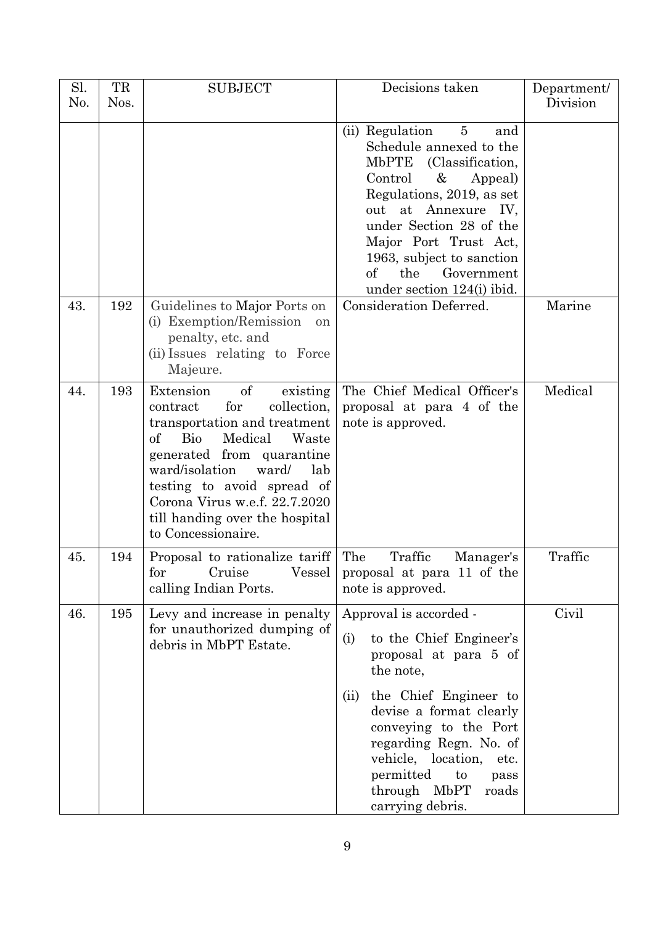| Sl.<br>No. | TR<br>Nos. | <b>SUBJECT</b>                                                                                                                                                                                                                                                                                                                    | Decisions taken                                                                                                                                                                                                                                                                                                                      | Department/<br>Division |
|------------|------------|-----------------------------------------------------------------------------------------------------------------------------------------------------------------------------------------------------------------------------------------------------------------------------------------------------------------------------------|--------------------------------------------------------------------------------------------------------------------------------------------------------------------------------------------------------------------------------------------------------------------------------------------------------------------------------------|-------------------------|
|            |            |                                                                                                                                                                                                                                                                                                                                   | (ii) Regulation<br>$\overline{5}$<br>and<br>Schedule annexed to the<br>MbPTE (Classification,<br>Control<br>&<br>Appeal)<br>Regulations, 2019, as set<br>at Annexure IV,<br>out<br>under Section 28 of the<br>Major Port Trust Act,<br>1963, subject to sanction<br>the<br>Government<br>$\mathrm{of}$<br>under section 124(i) ibid. |                         |
| 43.        | 192        | Guidelines to Major Ports on<br>(i) Exemption/Remission<br><sub>on</sub><br>penalty, etc. and<br>(ii) Issues relating to Force<br>Majeure.                                                                                                                                                                                        | Consideration Deferred.                                                                                                                                                                                                                                                                                                              | Marine                  |
| 44.        | 193        | Extension<br>of<br>existing<br>for<br>collection,<br>contract<br>transportation and treatment<br>$\alpha$<br><b>Bio</b><br>Medical<br>Waste<br>generated from quarantine<br>ward/isolation<br>ward/<br>lab<br>testing to avoid spread of<br>Corona Virus w.e.f. 22.7.2020<br>till handing over the hospital<br>to Concessionaire. | The Chief Medical Officer's<br>proposal at para 4 of the<br>note is approved.                                                                                                                                                                                                                                                        | Medical                 |
| 45.        | 194        | Proposal to rationalize tariff<br>for Cruise<br>Vessel<br>calling Indian Ports.                                                                                                                                                                                                                                                   | Traffic<br>The<br>Manager's<br>proposal at para 11 of the<br>note is approved.                                                                                                                                                                                                                                                       | Traffic                 |
| 46.        | 195        | Levy and increase in penalty<br>for unauthorized dumping of<br>debris in MbPT Estate.                                                                                                                                                                                                                                             | Approval is accorded -<br>to the Chief Engineer's<br>(i)<br>proposal at para 5 of<br>the note,<br>the Chief Engineer to<br>(ii)<br>devise a format clearly<br>conveying to the Port<br>regarding Regn. No. of<br>vehicle, location,<br>etc.<br>permitted<br>to<br>pass<br>through MbPT<br>roads<br>carrying debris.                  | Civil                   |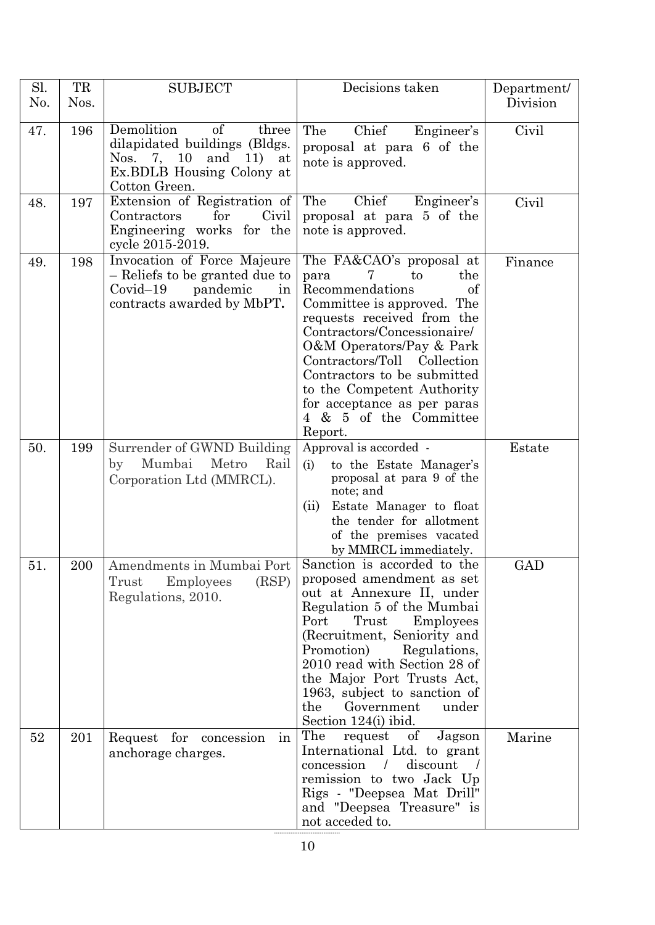| Sl.<br>No. | TR<br>Nos. | <b>SUBJECT</b>                                                                                                                                    | Decisions taken                                                                                                                                                                                                                                                                                                                                               | Department/<br>Division |
|------------|------------|---------------------------------------------------------------------------------------------------------------------------------------------------|---------------------------------------------------------------------------------------------------------------------------------------------------------------------------------------------------------------------------------------------------------------------------------------------------------------------------------------------------------------|-------------------------|
| 47.        | 196        | Demolition<br>of<br>three<br>dilapidated buildings (Bldgs.<br>Nos.<br>10<br>and<br>11)<br>7,<br>at<br>Ex. BDLB Housing Colony at<br>Cotton Green. | Chief<br>Engineer's<br>The<br>proposal at para 6 of the<br>note is approved.                                                                                                                                                                                                                                                                                  | Civil                   |
| 48.        | 197        | Extension of Registration of<br>Civil<br>Contractors<br>for<br>Engineering works for the<br>cycle 2015-2019.                                      | The<br>Chief<br>Engineer's<br>proposal at para 5 of the<br>note is approved.                                                                                                                                                                                                                                                                                  | Civil                   |
| 49.        | 198        | Invocation of Force Majeure<br>- Reliefs to be granted due to<br>$Covid-19$<br>pandemic<br>in<br>contracts awarded by MbPT.                       | The FA&CAO's proposal at<br>to<br>the<br>para<br>Recommendations<br>of<br>Committee is approved. The<br>requests received from the<br>Contractors/Concessionaire/<br>O&M Operators/Pay & Park<br>Contractors/Toll Collection<br>Contractors to be submitted<br>to the Competent Authority<br>for acceptance as per paras<br>4 & 5 of the Committee<br>Report. | Finance                 |
| 50.        | 199        | Surrender of GWND Building<br>Mumbai<br>Metro<br>Rail<br>by<br>Corporation Ltd (MMRCL).                                                           | Approval is accorded -<br>(i)<br>to the Estate Manager's<br>proposal at para 9 of the<br>note; and<br>(ii)<br>Estate Manager to float<br>the tender for allotment<br>of the premises vacated<br>by MMRCL immediately.                                                                                                                                         | Estate                  |
| 51         | 200        | Amendments in Mumbai Port Sanction is accorded to the<br>(RSP)<br><b>Employees</b><br>Trust<br>Regulations, 2010.                                 | proposed amendment as set<br>out at Annexure II, under<br>Regulation 5 of the Mumbai<br>Trust<br>Port<br>Employees<br>(Recruitment, Seniority and<br>Promotion)<br>Regulations,<br>2010 read with Section 28 of<br>the Major Port Trusts Act,<br>1963, subject to sanction of<br>Government<br>the<br>under<br>Section $124(i)$ ibid.                         | GAD                     |
| 52         | 201        | Request for concession<br>in<br>anchorage charges.                                                                                                | The<br>$\sigma f$<br>request<br>Jagson<br>International Ltd. to grant<br>discount<br>concession<br>$\prime$<br>remission to two Jack Up<br>Rigs - "Deepsea Mat Drill"<br>and "Deepsea Treasure" is<br>not acceded to.                                                                                                                                         | Marine                  |